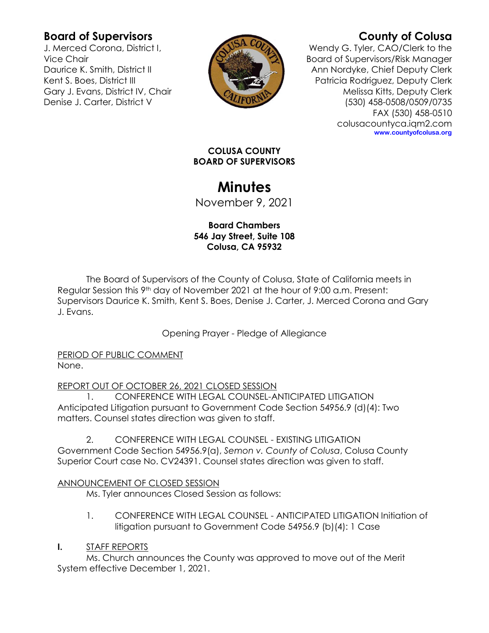## **Board of Supervisors**

J. Merced Corona, District I, Vice Chair Daurice K. Smith, District II Kent S. Boes, District III Gary J. Evans, District IV, Chair Denise J. Carter, District V



# **County of Colusa**

Wendy G. Tyler, CAO/Clerk to the Board of Supervisors/Risk Manager Ann Nordyke, Chief Deputy Clerk Patricia Rodriguez, Deputy Clerk Melissa Kitts, Deputy Clerk (530) 458-0508/0509/0735 FAX (530) 458-0510 colusacountyca.iqm2.com **www.countyofcolusa.org**

#### **COLUSA COUNTY BOARD OF SUPERVISORS**

# **Minutes**

November 9, 2021

### **Board Chambers 546 Jay Street, Suite 108 Colusa, CA 95932**

The Board of Supervisors of the County of Colusa, State of California meets in Regular Session this 9<sup>th</sup> day of November 2021 at the hour of 9:00 a.m. Present: Supervisors Daurice K. Smith, Kent S. Boes, Denise J. Carter, J. Merced Corona and Gary J. Evans.

Opening Prayer - Pledge of Allegiance

PERIOD OF PUBLIC COMMENT None.

REPORT OUT OF OCTOBER 26, 2021 CLOSED SESSION

1. CONFERENCE WITH LEGAL COUNSEL-ANTICIPATED LITIGATION Anticipated Litigation pursuant to Government Code Section 54956.9 (d)(4): Two matters. Counsel states direction was given to staff.

2. CONFERENCE WITH LEGAL COUNSEL - EXISTING LITIGATION Government Code Section 54956.9(a), *Semon v. County of Colusa*, Colusa County Superior Court case No. CV24391. Counsel states direction was given to staff.

### ANNOUNCEMENT OF CLOSED SESSION

Ms. Tyler announces Closed Session as follows:

1. CONFERENCE WITH LEGAL COUNSEL - ANTICIPATED LITIGATION Initiation of litigation pursuant to Government Code 54956.9 (b)(4): 1 Case

### **I.** STAFF REPORTS

Ms. Church announces the County was approved to move out of the Merit System effective December 1, 2021.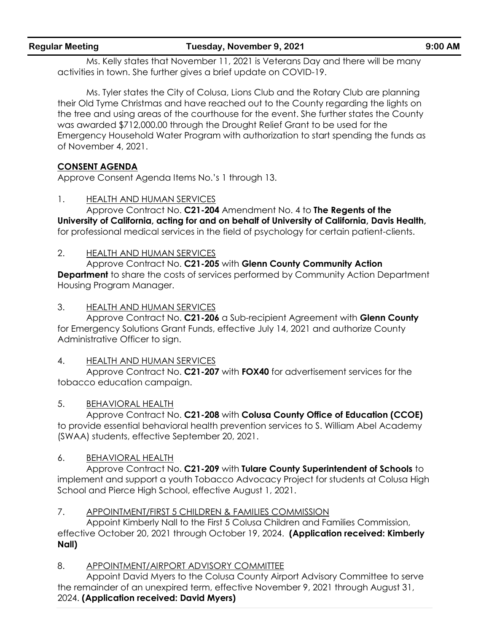Ms. Kelly states that November 11, 2021 is Veterans Day and there will be many activities in town. She further gives a brief update on COVID-19.

Ms. Tyler states the City of Colusa, Lions Club and the Rotary Club are planning their Old Tyme Christmas and have reached out to the County regarding the lights on the tree and using areas of the courthouse for the event. She further states the County was awarded \$712,000.00 through the Drought Relief Grant to be used for the Emergency Household Water Program with authorization to start spending the funds as of November 4, 2021.

### **CONSENT AGENDA**

Approve Consent Agenda Items No.'s 1 through 13.

#### 1. HEALTH AND HUMAN SERVICES

Approve Contract No. **C21-204** Amendment No. 4 to **The Regents of the University of California, acting for and on behalf of University of California, Davis Health,**  for professional medical services in the field of psychology for certain patient-clients.

#### 2. HEALTH AND HUMAN SERVICES

Approve Contract No. **C21-205** with **Glenn County Community Action Department** to share the costs of services performed by Community Action Department Housing Program Manager.

#### 3. HEALTH AND HUMAN SERVICES

Approve Contract No. **C21-206** a Sub-recipient Agreement with **Glenn County** for Emergency Solutions Grant Funds, effective July 14, 2021 and authorize County Administrative Officer to sign.

#### 4. HEALTH AND HUMAN SERVICES

Approve Contract No. **C21-207** with **FOX40** for advertisement services for the tobacco education campaign.

#### 5. BEHAVIORAL HEALTH

Approve Contract No. **C21-208** with **Colusa County Office of Education (CCOE)** to provide essential behavioral health prevention services to S. William Abel Academy (SWAA) students, effective September 20, 2021.

#### 6. BEHAVIORAL HEALTH

Approve Contract No. **C21-209** with **Tulare County Superintendent of Schools** to implement and support a youth Tobacco Advocacy Project for students at Colusa High School and Pierce High School, effective August 1, 2021.

#### 7. APPOINTMENT/FIRST 5 CHILDREN & FAMILIES COMMISSION

Appoint Kimberly Nall to the First 5 Colusa Children and Families Commission, effective October 20, 2021 through October 19, 2024. **(Application received: Kimberly Nall)**

#### 8. APPOINTMENT/AIRPORT ADVISORY COMMITTEE

Appoint David Myers to the Colusa County Airport Advisory Committee to serve the remainder of an unexpired term, effective November 9, 2021 through August 31, 2024. **(Application received: David Myers)**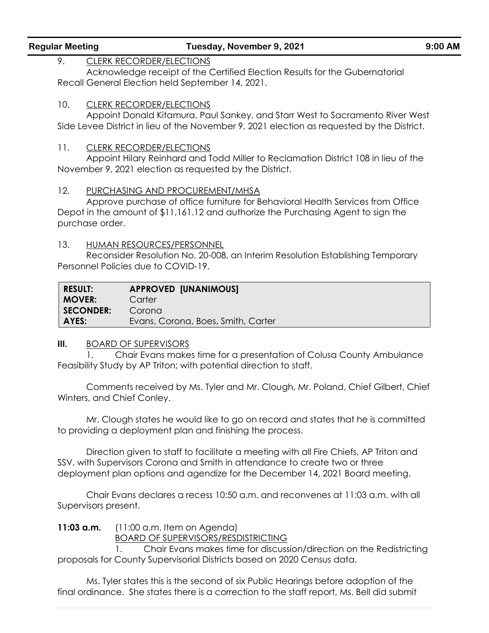#### 9. CLERK RECORDER/ELECTIONS

Acknowledge receipt of the Certified Election Results for the Gubernatorial Recall General Election held September 14, 2021.

#### 10. CLERK RECORDER/ELECTIONS

Appoint Donald Kitamura, Paul Sankey, and Starr West to Sacramento River West Side Levee District in lieu of the November 9, 2021 election as requested by the District.

#### 11. CLERK RECORDER/ELECTIONS

Appoint Hilary Reinhard and Todd Miller to Reclamation District 108 in lieu of the November 9, 2021 election as requested by the District.

#### 12. PURCHASING AND PROCUREMENT/MHSA

Approve purchase of office furniture for Behavioral Health Services from Office Depot in the amount of \$11,161.12 and authorize the Purchasing Agent to sign the purchase order.

#### 13. HUMAN RESOURCES/PERSONNEL

Reconsider Resolution No. 20-008, an Interim Resolution Establishing Temporary Personnel Policies due to COVID-19.

| <b>RESULT:</b> | <b>APPROVED [UNANIMOUS]</b>        |
|----------------|------------------------------------|
| MOVER:         | Carter                             |
| SECONDER:      | Corona                             |
| AYES:          | Evans, Corona, Boes, Smith, Carter |

#### **III.** BOARD OF SUPERVISORS

1. Chair Evans makes time for a presentation of Colusa County Ambulance Feasibility Study by AP Triton; with potential direction to staff.

Comments received by Ms. Tyler and Mr. Clough, Mr. Poland, Chief Gilbert, Chief Winters, and Chief Conley.

Mr. Clough states he would like to go on record and states that he is committed to providing a deployment plan and finishing the process.

Direction given to staff to facilitate a meeting with all Fire Chiefs, AP Triton and SSV, with Supervisors Corona and Smith in attendance to create two or three deployment plan options and agendize for the December 14, 2021 Board meeting.

Chair Evans declares a recess 10:50 a.m. and reconvenes at 11:03 a.m. with all Supervisors present.

**11:03 a.m.** (11:00 a.m. Item on Agenda)

BOARD OF SUPERVISORS/RESDISTRICTING

1. Chair Evans makes time for discussion/direction on the Redistricting proposals for County Supervisorial Districts based on 2020 Census data.

Ms. Tyler states this is the second of six Public Hearings before adoption of the final ordinance. She states there is a correction to the staff report, Ms. Bell did submit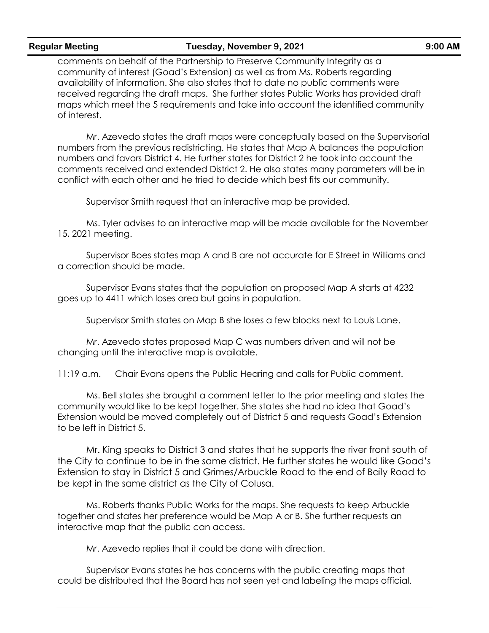comments on behalf of the Partnership to Preserve Community Integrity as a community of interest (Goad's Extension) as well as from Ms. Roberts regarding availability of information. She also states that to date no public comments were received regarding the draft maps. She further states Public Works has provided draft maps which meet the 5 requirements and take into account the identified community of interest.

Mr. Azevedo states the draft maps were conceptually based on the Supervisorial numbers from the previous redistricting. He states that Map A balances the population numbers and favors District 4. He further states for District 2 he took into account the comments received and extended District 2. He also states many parameters will be in conflict with each other and he tried to decide which best fits our community.

Supervisor Smith request that an interactive map be provided.

Ms. Tyler advises to an interactive map will be made available for the November 15, 2021 meeting.

Supervisor Boes states map A and B are not accurate for E Street in Williams and a correction should be made.

Supervisor Evans states that the population on proposed Map A starts at 4232 goes up to 4411 which loses area but gains in population.

Supervisor Smith states on Map B she loses a few blocks next to Louis Lane.

Mr. Azevedo states proposed Map C was numbers driven and will not be changing until the interactive map is available.

11:19 a.m. Chair Evans opens the Public Hearing and calls for Public comment.

Ms. Bell states she brought a comment letter to the prior meeting and states the community would like to be kept together. She states she had no idea that Goad's Extension would be moved completely out of District 5 and requests Goad's Extension to be left in District 5.

Mr. King speaks to District 3 and states that he supports the river front south of the City to continue to be in the same district. He further states he would like Goad's Extension to stay in District 5 and Grimes/Arbuckle Road to the end of Baily Road to be kept in the same district as the City of Colusa.

Ms. Roberts thanks Public Works for the maps. She requests to keep Arbuckle together and states her preference would be Map A or B. She further requests an interactive map that the public can access.

Mr. Azevedo replies that it could be done with direction.

Supervisor Evans states he has concerns with the public creating maps that could be distributed that the Board has not seen yet and labeling the maps official.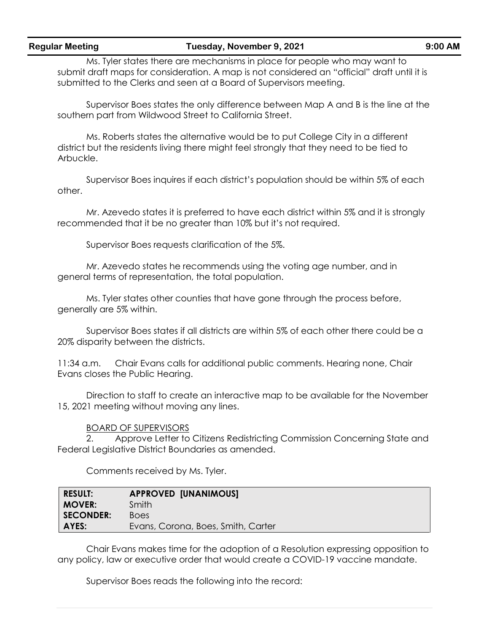Ms. Tyler states there are mechanisms in place for people who may want to submit draft maps for consideration. A map is not considered an "official" draft until it is submitted to the Clerks and seen at a Board of Supervisors meeting.

Supervisor Boes states the only difference between Map A and B is the line at the southern part from Wildwood Street to California Street.

Ms. Roberts states the alternative would be to put College City in a different district but the residents living there might feel strongly that they need to be tied to Arbuckle.

Supervisor Boes inquires if each district's population should be within 5% of each other.

Mr. Azevedo states it is preferred to have each district within 5% and it is strongly recommended that it be no greater than 10% but it's not required.

Supervisor Boes requests clarification of the 5%.

Mr. Azevedo states he recommends using the voting age number, and in general terms of representation, the total population.

Ms. Tyler states other counties that have gone through the process before, generally are 5% within.

Supervisor Boes states if all districts are within 5% of each other there could be a 20% disparity between the districts.

11:34 a.m. Chair Evans calls for additional public comments. Hearing none, Chair Evans closes the Public Hearing.

Direction to staff to create an interactive map to be available for the November 15, 2021 meeting without moving any lines.

#### BOARD OF SUPERVISORS

2. Approve Letter to Citizens Redistricting Commission Concerning State and Federal Legislative District Boundaries as amended.

Comments received by Ms. Tyler.

| <b>RESULT:</b>   | <b>APPROVED [UNANIMOUS]</b>        |
|------------------|------------------------------------|
| <b>MOVER:</b>    | Smith                              |
| <b>SECONDER:</b> | <b>Boes</b>                        |
| AYES:            | Evans, Corona, Boes, Smith, Carter |

Chair Evans makes time for the adoption of a Resolution expressing opposition to any policy, law or executive order that would create a COVID-19 vaccine mandate.

Supervisor Boes reads the following into the record: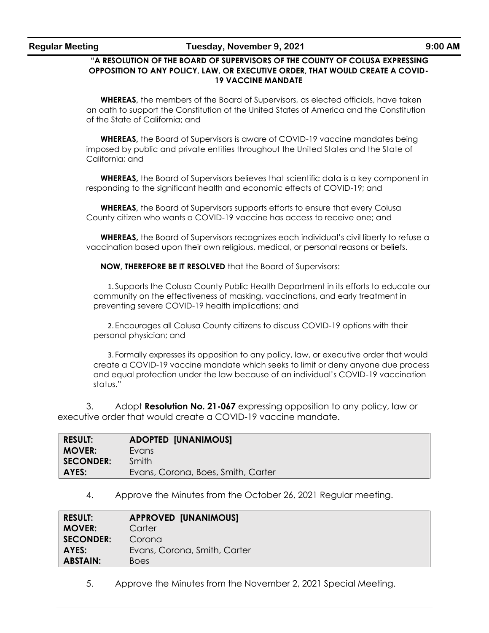#### **"A RESOLUTION OF THE BOARD OF SUPERVISORS OF THE COUNTY OF COLUSA EXPRESSING OPPOSITION TO ANY POLICY, LAW, OR EXECUTIVE ORDER, THAT WOULD CREATE A COVID-19 VACCINE MANDATE**

**WHEREAS,** the members of the Board of Supervisors, as elected officials, have taken an oath to support the Constitution of the United States of America and the Constitution of the State of California; and

**WHEREAS,** the Board of Supervisors is aware of COVID-19 vaccine mandates being imposed by public and private entities throughout the United States and the State of California; and

**WHEREAS,** the Board of Supervisors believes that scientific data is a key component in responding to the significant health and economic effects of COVID-19; and

**WHEREAS,** the Board of Supervisors supports efforts to ensure that every Colusa County citizen who wants a COVID-19 vaccine has access to receive one; and

**WHEREAS,** the Board of Supervisors recognizes each individual's civil liberty to refuse a vaccination based upon their own religious, medical, or personal reasons or beliefs.

**NOW, THEREFORE BE IT RESOLVED** that the Board of Supervisors:

1. Supports the Colusa County Public Health Department in its efforts to educate our community on the effectiveness of masking, vaccinations, and early treatment in preventing severe COVID-19 health implications; and

2. Encourages all Colusa County citizens to discuss COVID-19 options with their personal physician; and

3. Formally expresses its opposition to any policy, law, or executive order that would create a COVID-19 vaccine mandate which seeks to limit or deny anyone due process and equal protection under the law because of an individual's COVID-19 vaccination status."

3. Adopt **Resolution No. 21-067** expressing opposition to any policy, law or executive order that would create a COVID-19 vaccine mandate.

| <b>RESULT:</b> | <b>ADOPTED [UNANIMOUS]</b>         |
|----------------|------------------------------------|
| <b>MOVER:</b>  | Evans                              |
| SECONDER:      | Smith                              |
| <b>AYES:</b>   | Evans, Corona, Boes, Smith, Carter |

4. Approve the Minutes from the October 26, 2021 Regular meeting.

| <b>RESULT:</b>  | <b>APPROVED [UNANIMOUS]</b>  |  |
|-----------------|------------------------------|--|
| <b>MOVER:</b>   | Carter                       |  |
| SECONDER:       | Corona                       |  |
| AYES: I         | Evans, Corona, Smith, Carter |  |
| <b>ABSTAIN:</b> | <b>Boes</b>                  |  |

5. Approve the Minutes from the November 2, 2021 Special Meeting.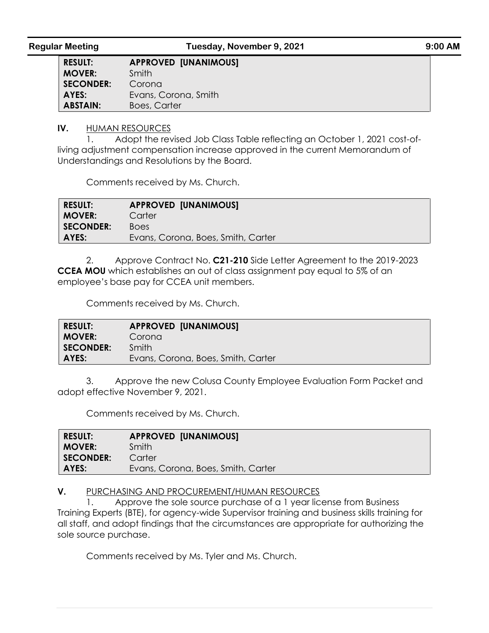**RESULT: APPROVED [UNANIMOUS] MOVER:** Smith **SECONDER:** Corona **AYES:** Evans, Corona, Smith **ABSTAIN:** Boes, Carter

#### **IV.** HUMAN RESOURCES

1. Adopt the revised Job Class Table reflecting an October 1, 2021 cost-ofliving adjustment compensation increase approved in the current Memorandum of Understandings and Resolutions by the Board.

Comments received by Ms. Church.

| <b>RESULT:</b>   | <b>APPROVED [UNANIMOUS]</b>        |
|------------------|------------------------------------|
| <b>MOVER:</b>    | Carter                             |
| <b>SECONDER:</b> | <b>Boes</b>                        |
| AYES:            | Evans, Corona, Boes, Smith, Carter |

2. Approve Contract No. **C21-210** Side Letter Agreement to the 2019-2023 **CCEA MOU** which establishes an out of class assignment pay equal to 5% of an employee's base pay for CCEA unit members.

Comments received by Ms. Church.

| <b>RESULT:</b>   | <b>APPROVED [UNANIMOUS]</b>        |
|------------------|------------------------------------|
| <b>MOVER:</b>    | Corona                             |
| <b>SECONDER:</b> | <b>Smith</b>                       |
| AYES:            | Evans, Corona, Boes, Smith, Carter |

3. Approve the new Colusa County Employee Evaluation Form Packet and adopt effective November 9, 2021.

Comments received by Ms. Church.

| <b>RESULT:</b> | <b>APPROVED [UNANIMOUS]</b>        |
|----------------|------------------------------------|
| <b>MOVER:</b>  | Smith                              |
| SECONDER:      | Carter                             |
| AYES:          | Evans, Corona, Boes, Smith, Carter |

#### **V.** PURCHASING AND PROCUREMENT/HUMAN RESOURCES

1. Approve the sole source purchase of a 1 year license from Business Training Experts (BTE), for agency-wide Supervisor training and business skills training for all staff, and adopt findings that the circumstances are appropriate for authorizing the sole source purchase.

Comments received by Ms. Tyler and Ms. Church.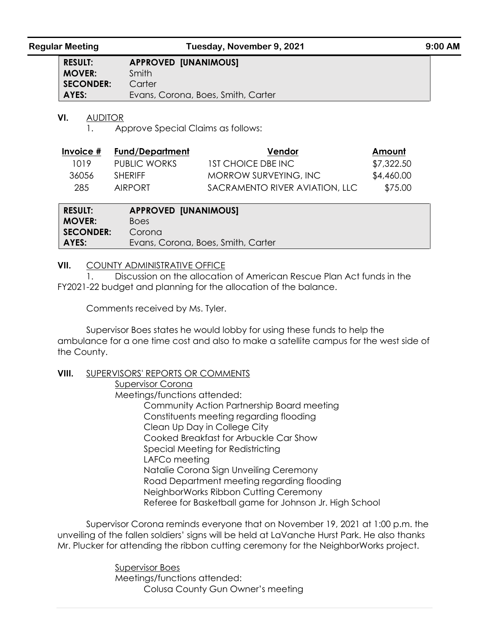| <b>RESULT:</b>   | <b>APPROVED [UNANIMOUS]</b>        |
|------------------|------------------------------------|
| <b>MOVER:</b>    | Smith                              |
| <b>SECONDER:</b> | Carter                             |
| AYES:            | Evans, Corona, Boes, Smith, Carter |

#### **VI.** AUDITOR

1. Approve Special Claims as follows:

| Invoice # | Fund/De <u>partment</u> | Vendor                         | Amount     |
|-----------|-------------------------|--------------------------------|------------|
| 1019.     | PUBLIC WORKS            | 1ST CHOICE DBE INC             | \$7,322.50 |
| 36056     | <b>SHERIFF</b>          | MORROW SURVEYING, INC          | \$4,460.00 |
| 285.      | AIRPORT                 | SACRAMENTO RIVER AVIATION, LLC | \$75.00    |

| <b>RESULT:</b>   | <b>APPROVED [UNANIMOUS]</b>        |
|------------------|------------------------------------|
| <b>MOVER:</b>    | <b>Boes</b>                        |
| <b>SECONDER:</b> | Corona                             |
| AYES:            | Evans, Corona, Boes, Smith, Carter |

#### **VII.** COUNTY ADMINISTRATIVE OFFICE

1. Discussion on the allocation of American Rescue Plan Act funds in the FY2021-22 budget and planning for the allocation of the balance.

Comments received by Ms. Tyler.

Supervisor Boes states he would lobby for using these funds to help the ambulance for a one time cost and also to make a satellite campus for the west side of the County.

#### **VIII.** SUPERVISORS' REPORTS OR COMMENTS

Supervisor Corona Meetings/functions attended: Community Action Partnership Board meeting Constituents meeting regarding flooding Clean Up Day in College City Cooked Breakfast for Arbuckle Car Show Special Meeting for Redistricting LAFCo meeting Natalie Corona Sign Unveiling Ceremony Road Department meeting regarding flooding NeighborWorks Ribbon Cutting Ceremony Referee for Basketball game for Johnson Jr. High School

Supervisor Corona reminds everyone that on November 19, 2021 at 1:00 p.m. the unveiling of the fallen soldiers' signs will be held at LaVanche Hurst Park. He also thanks Mr. Plucker for attending the ribbon cutting ceremony for the NeighborWorks project.

> Supervisor Boes Meetings/functions attended: Colusa County Gun Owner's meeting